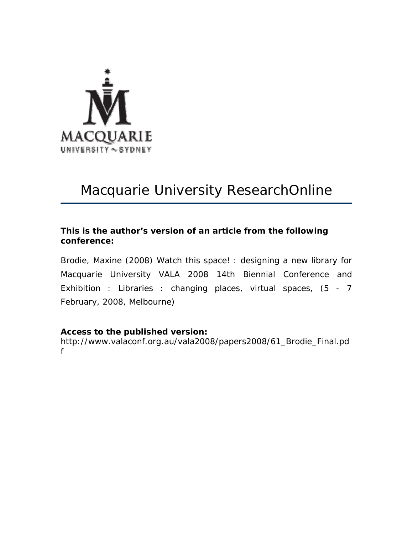

# Macquarie University ResearchOnline

### **This is the author's version of an article from the following conference:**

Brodie, Maxine (2008) Watch this space! : designing a new library for Macquarie University *VALA 2008 14th Biennial Conference and Exhibition : Libraries : changing places, virtual spaces*, (5 - 7 February, 2008, Melbourne)

## **Access to the published version:**

http://www.valaconf.org.au/vala2008/papers2008/61\_Brodie\_Final.pd f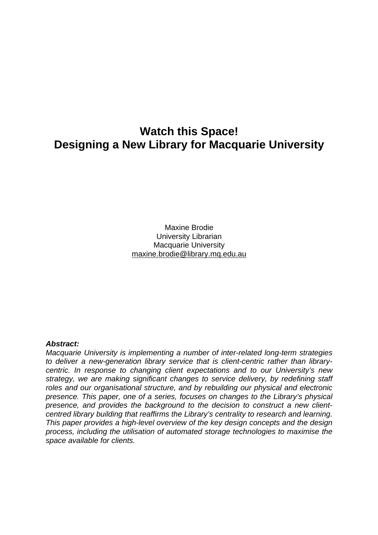# **Watch this Space! Designing a New Library for Macquarie University**

Maxine Brodie University Librarian Macquarie University maxine.brodie@library.mq.edu.au

#### *Abstract:*

*Macquarie University is implementing a number of inter-related long-term strategies to deliver a new-generation library service that is client-centric rather than librarycentric. In response to changing client expectations and to our University's new strategy, we are making significant changes to service delivery, by redefining staff roles and our organisational structure, and by rebuilding our physical and electronic presence. This paper, one of a series, focuses on changes to the Library's physical presence, and provides the background to the decision to construct a new clientcentred library building that reaffirms the Library's centrality to research and learning. This paper provides a high-level overview of the key design concepts and the design process, including the utilisation of automated storage technologies to maximise the space available for clients.*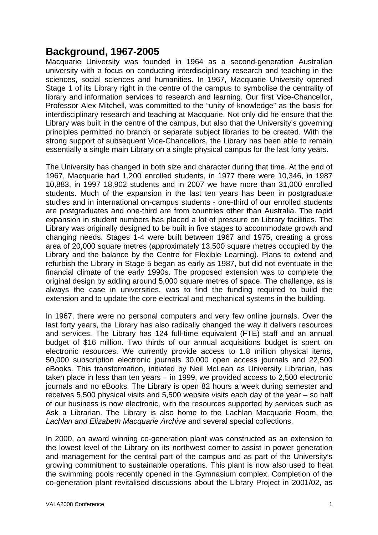# **Background, 1967-2005**

Macquarie University was founded in 1964 as a second-generation Australian university with a focus on conducting interdisciplinary research and teaching in the sciences, social sciences and humanities. In 1967, Macquarie University opened Stage 1 of its Library right in the centre of the campus to symbolise the centrality of library and information services to research and learning. Our first Vice-Chancellor, Professor Alex Mitchell, was committed to the "unity of knowledge" as the basis for interdisciplinary research and teaching at Macquarie. Not only did he ensure that the Library was built in the centre of the campus, but also that the University's governing principles permitted no branch or separate subject libraries to be created. With the strong support of subsequent Vice-Chancellors, the Library has been able to remain essentially a single main Library on a single physical campus for the last forty years.

The University has changed in both size and character during that time. At the end of 1967, Macquarie had 1,200 enrolled students, in 1977 there were 10,346, in 1987 10,883, in 1997 18,902 students and in 2007 we have more than 31,000 enrolled students. Much of the expansion in the last ten years has been in postgraduate studies and in international on-campus students - one-third of our enrolled students are postgraduates and one-third are from countries other than Australia. The rapid expansion in student numbers has placed a lot of pressure on Library facilities. The Library was originally designed to be built in five stages to accommodate growth and changing needs. Stages 1-4 were built between 1967 and 1975, creating a gross area of 20,000 square metres (approximately 13,500 square metres occupied by the Library and the balance by the Centre for Flexible Learning). Plans to extend and refurbish the Library in Stage 5 began as early as 1987, but did not eventuate in the financial climate of the early 1990s. The proposed extension was to complete the original design by adding around 5,000 square metres of space. The challenge, as is always the case in universities, was to find the funding required to build the extension and to update the core electrical and mechanical systems in the building.

In 1967, there were no personal computers and very few online journals. Over the last forty years, the Library has also radically changed the way it delivers resources and services. The Library has 124 full-time equivalent (FTE) staff and an annual budget of \$16 million. Two thirds of our annual acquisitions budget is spent on electronic resources. We currently provide access to 1.8 million physical items, 50,000 subscription electronic journals 30,000 open access journals and 22,500 eBooks. This transformation, initiated by Neil McLean as University Librarian, has taken place in less than ten years – in 1999, we provided access to 2,500 electronic journals and no eBooks. The Library is open 82 hours a week during semester and receives 5,500 physical visits and 5,500 website visits each day of the year – so half of our business is now electronic, with the resources supported by services such as Ask a Librarian. The Library is also home to the Lachlan Macquarie Room, the *Lachlan and Elizabeth Macquarie Archive* and several special collections.

In 2000, an award winning co-generation plant was constructed as an extension to the lowest level of the Library on its northwest corner to assist in power generation and management for the central part of the campus and as part of the University's growing commitment to sustainable operations. This plant is now also used to heat the swimming pools recently opened in the Gymnasium complex. Completion of the co-generation plant revitalised discussions about the Library Project in 2001/02, as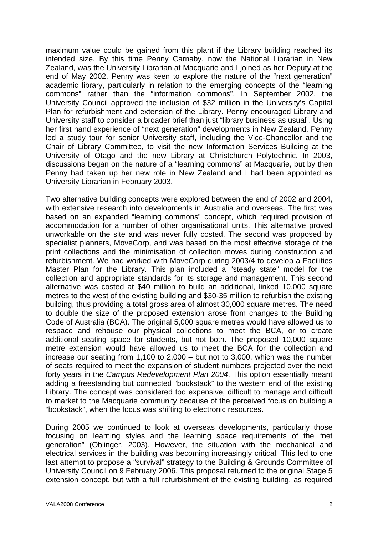maximum value could be gained from this plant if the Library building reached its intended size. By this time Penny Carnaby, now the National Librarian in New Zealand, was the University Librarian at Macquarie and I joined as her Deputy at the end of May 2002. Penny was keen to explore the nature of the "next generation" academic library, particularly in relation to the emerging concepts of the "learning commons" rather than the "information commons". In September 2002, the University Council approved the inclusion of \$32 million in the University's Capital Plan for refurbishment and extension of the Library. Penny encouraged Library and University staff to consider a broader brief than just "library business as usual". Using her first hand experience of "next generation" developments in New Zealand, Penny led a study tour for senior University staff, including the Vice-Chancellor and the Chair of Library Committee, to visit the new Information Services Building at the University of Otago and the new Library at Christchurch Polytechnic. In 2003, discussions began on the nature of a "learning commons" at Macquarie, but by then Penny had taken up her new role in New Zealand and I had been appointed as University Librarian in February 2003.

Two alternative building concepts were explored between the end of 2002 and 2004, with extensive research into developments in Australia and overseas. The first was based on an expanded "learning commons" concept, which required provision of accommodation for a number of other organisational units. This alternative proved unworkable on the site and was never fully costed. The second was proposed by specialist planners, MoveCorp, and was based on the most effective storage of the print collections and the minimisation of collection moves during construction and refurbishment. We had worked with MoveCorp during 2003/4 to develop a Facilities Master Plan for the Library. This plan included a "steady state" model for the collection and appropriate standards for its storage and management. This second alternative was costed at \$40 million to build an additional, linked 10,000 square metres to the west of the existing building and \$30-35 million to refurbish the existing building, thus providing a total gross area of almost 30,000 square metres. The need to double the size of the proposed extension arose from changes to the Building Code of Australia (BCA). The original 5,000 square metres would have allowed us to respace and rehouse our physical collections to meet the BCA, or to create additional seating space for students, but not both. The proposed 10,000 square metre extension would have allowed us to meet the BCA for the collection and increase our seating from 1,100 to 2,000 – but not to 3,000, which was the number of seats required to meet the expansion of student numbers projected over the next forty years in the *Campus Redevelopment Plan 2004*. This option essentially meant adding a freestanding but connected "bookstack" to the western end of the existing Library. The concept was considered too expensive, difficult to manage and difficult to market to the Macquarie community because of the perceived focus on building a "bookstack", when the focus was shifting to electronic resources.

During 2005 we continued to look at overseas developments, particularly those focusing on learning styles and the learning space requirements of the "net generation" (Oblinger, 2003). However, the situation with the mechanical and electrical services in the building was becoming increasingly critical. This led to one last attempt to propose a "survival" strategy to the Building & Grounds Committee of University Council on 9 February 2006. This proposal returned to the original Stage 5 extension concept, but with a full refurbishment of the existing building, as required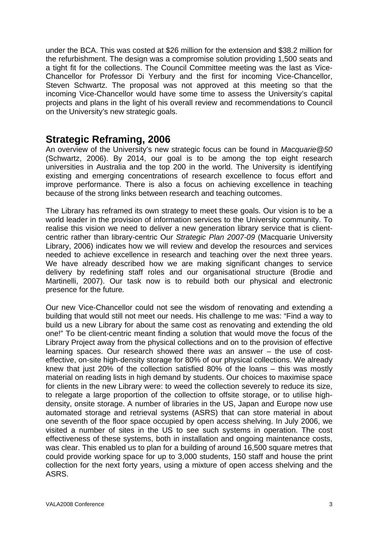under the BCA. This was costed at \$26 million for the extension and \$38.2 million for the refurbishment. The design was a compromise solution providing 1,500 seats and a tight fit for the collections. The Council Committee meeting was the last as Vice-Chancellor for Professor Di Yerbury and the first for incoming Vice-Chancellor, Steven Schwartz. The proposal was not approved at this meeting so that the incoming Vice-Chancellor would have some time to assess the University's capital projects and plans in the light of his overall review and recommendations to Council on the University's new strategic goals.

## **Strategic Reframing, 2006**

An overview of the University's new strategic focus can be found in *Macquarie@50* (Schwartz, 2006). By 2014, our goal is to be among the top eight research universities in Australia and the top 200 in the world. The University is identifying existing and emerging concentrations of research excellence to focus effort and improve performance. There is also a focus on achieving excellence in teaching because of the strong links between research and teaching outcomes.

The Library has reframed its own strategy to meet these goals. Our vision is to be a world leader in the provision of information services to the University community. To realise this vision we need to deliver a new generation library service that is clientcentric rather than library-centric Our *Strategic Plan 2007-09* (Macquarie University Library, 2006) indicates how we will review and develop the resources and services needed to achieve excellence in research and teaching over the next three years. We have already described how we are making significant changes to service delivery by redefining staff roles and our organisational structure (Brodie and Martinelli, 2007). Our task now is to rebuild both our physical and electronic presence for the future*.*

Our new Vice-Chancellor could not see the wisdom of renovating and extending a building that would still not meet our needs. His challenge to me was: "Find a way to build us a new Library for about the same cost as renovating and extending the old one!" To be client-centric meant finding a solution that would move the focus of the Library Project away from the physical collections and on to the provision of effective learning spaces. Our research showed there *was* an answer – the use of costeffective, on-site high-density storage for 80% of our physical collections. We already knew that just 20% of the collection satisfied 80% of the loans – this was mostly material on reading lists in high demand by students. Our choices to maximise space for clients in the new Library were: to weed the collection severely to reduce its size, to relegate a large proportion of the collection to offsite storage, or to utilise highdensity, onsite storage. A number of libraries in the US, Japan and Europe now use automated storage and retrieval systems (ASRS) that can store material in about one seventh of the floor space occupied by open access shelving. In July 2006, we visited a number of sites in the US to see such systems in operation. The cost effectiveness of these systems, both in installation and ongoing maintenance costs, was clear. This enabled us to plan for a building of around 16,500 square metres that could provide working space for up to 3,000 students, 150 staff and house the print collection for the next forty years, using a mixture of open access shelving and the ASRS.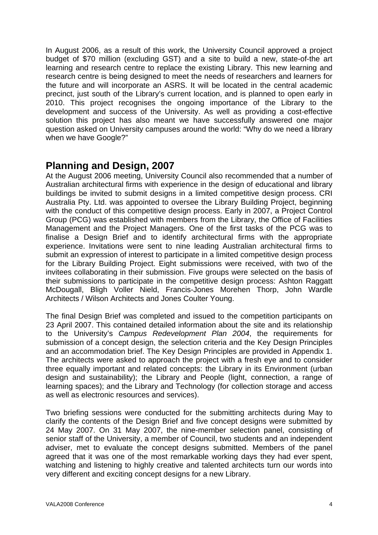In August 2006, as a result of this work, the University Council approved a project budget of \$70 million (excluding GST) and a site to build a new, state-of-the art learning and research centre to replace the existing Library. This new learning and research centre is being designed to meet the needs of researchers and learners for the future and will incorporate an ASRS. It will be located in the central academic precinct, just south of the Library's current location, and is planned to open early in 2010. This project recognises the ongoing importance of the Library to the development and success of the University. As well as providing a cost-effective solution this project has also meant we have successfully answered one major question asked on University campuses around the world: "Why do we need a library when we have Google?"

## **Planning and Design, 2007**

At the August 2006 meeting, University Council also recommended that a number of Australian architectural firms with experience in the design of educational and library buildings be invited to submit designs in a limited competitive design process. CRI Australia Pty. Ltd. was appointed to oversee the Library Building Project, beginning with the conduct of this competitive design process. Early in 2007, a Project Control Group (PCG) was established with members from the Library, the Office of Facilities Management and the Project Managers. One of the first tasks of the PCG was to finalise a Design Brief and to identify architectural firms with the appropriate experience. Invitations were sent to nine leading Australian architectural firms to submit an expression of interest to participate in a limited competitive design process for the Library Building Project. Eight submissions were received, with two of the invitees collaborating in their submission. Five groups were selected on the basis of their submissions to participate in the competitive design process: Ashton Raggatt McDougall, Bligh Voller Nield, Francis-Jones Morehen Thorp, John Wardle Architects / Wilson Architects and Jones Coulter Young.

The final Design Brief was completed and issued to the competition participants on 23 April 2007. This contained detailed information about the site and its relationship to the University's *Campus Redevelopment Plan 2004*, the requirements for submission of a concept design, the selection criteria and the Key Design Principles and an accommodation brief. The Key Design Principles are provided in Appendix 1. The architects were asked to approach the project with a fresh eye and to consider three equally important and related concepts: the Library in its Environment (urban design and sustainability); the Library and People (light, connection, a range of learning spaces); and the Library and Technology (for collection storage and access as well as electronic resources and services).

Two briefing sessions were conducted for the submitting architects during May to clarify the contents of the Design Brief and five concept designs were submitted by 24 May 2007. On 31 May 2007, the nine-member selection panel, consisting of senior staff of the University, a member of Council, two students and an independent adviser, met to evaluate the concept designs submitted. Members of the panel agreed that it was one of the most remarkable working days they had ever spent, watching and listening to highly creative and talented architects turn our words into very different and exciting concept designs for a new Library.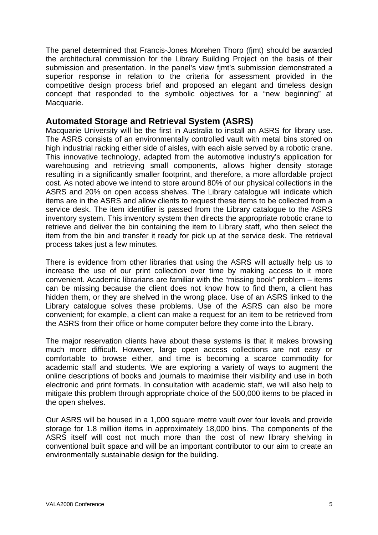The panel determined that Francis-Jones Morehen Thorp (fjmt) should be awarded the architectural commission for the Library Building Project on the basis of their submission and presentation. In the panel's view fjmt's submission demonstrated a superior response in relation to the criteria for assessment provided in the competitive design process brief and proposed an elegant and timeless design concept that responded to the symbolic objectives for a "new beginning" at Macquarie.

### **Automated Storage and Retrieval System (ASRS)**

Macquarie University will be the first in Australia to install an ASRS for library use. The ASRS consists of an environmentally controlled vault with metal bins stored on high industrial racking either side of aisles, with each aisle served by a robotic crane. This innovative technology, adapted from the automotive industry's application for warehousing and retrieving small components, allows higher density storage resulting in a significantly smaller footprint, and therefore, a more affordable project cost. As noted above we intend to store around 80% of our physical collections in the ASRS and 20% on open access shelves. The Library catalogue will indicate which items are in the ASRS and allow clients to request these items to be collected from a service desk. The item identifier is passed from the Library catalogue to the ASRS inventory system. This inventory system then directs the appropriate robotic crane to retrieve and deliver the bin containing the item to Library staff, who then select the item from the bin and transfer it ready for pick up at the service desk. The retrieval process takes just a few minutes.

There is evidence from other libraries that using the ASRS will actually help us to increase the use of our print collection over time by making access to it more convenient. Academic librarians are familiar with the "missing book" problem – items can be missing because the client does not know how to find them, a client has hidden them, or they are shelved in the wrong place. Use of an ASRS linked to the Library catalogue solves these problems. Use of the ASRS can also be more convenient; for example, a client can make a request for an item to be retrieved from the ASRS from their office or home computer before they come into the Library.

The major reservation clients have about these systems is that it makes browsing much more difficult. However, large open access collections are not easy or comfortable to browse either, and time is becoming a scarce commodity for academic staff and students. We are exploring a variety of ways to augment the online descriptions of books and journals to maximise their visibility and use in both electronic and print formats. In consultation with academic staff, we will also help to mitigate this problem through appropriate choice of the 500,000 items to be placed in the open shelves.

Our ASRS will be housed in a 1,000 square metre vault over four levels and provide storage for 1.8 million items in approximately 18,000 bins. The components of the ASRS itself will cost not much more than the cost of new library shelving in conventional built space and will be an important contributor to our aim to create an environmentally sustainable design for the building.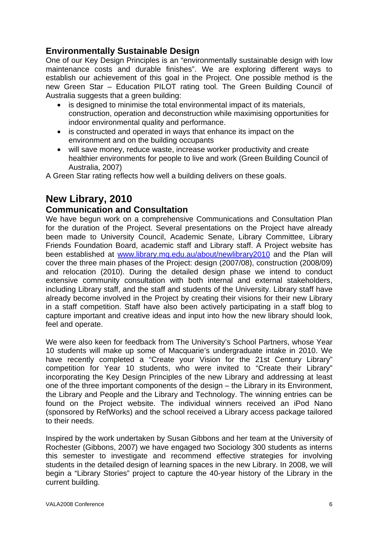## **Environmentally Sustainable Design**

One of our Key Design Principles is an "environmentally sustainable design with low maintenance costs and durable finishes". We are exploring different ways to establish our achievement of this goal in the Project. One possible method is the new Green Star – Education PILOT rating tool. The Green Building Council of Australia suggests that a green building:

- is designed to minimise the total environmental impact of its materials, construction, operation and deconstruction while maximising opportunities for indoor environmental quality and performance.
- is constructed and operated in ways that enhance its impact on the environment and on the building occupants
- will save money, reduce waste, increase worker productivity and create healthier environments for people to live and work (Green Building Council of Australia, 2007)

A Green Star rating reflects how well a building delivers on these goals.

# **New Library, 2010**

## **Communication and Consultation**

We have begun work on a comprehensive Communications and Consultation Plan for the duration of the Project. Several presentations on the Project have already been made to University Council, Academic Senate, Library Committee, Library Friends Foundation Board, academic staff and Library staff. A Project website has been established at www.library.mq.edu.au/about/newlibrary2010 and the Plan will cover the three main phases of the Project: design (2007/08), construction (2008/09) and relocation (2010). During the detailed design phase we intend to conduct extensive community consultation with both internal and external stakeholders, including Library staff, and the staff and students of the University. Library staff have already become involved in the Project by creating their visions for their new Library in a staff competition. Staff have also been actively participating in a staff blog to capture important and creative ideas and input into how the new library should look, feel and operate.

We were also keen for feedback from The University's School Partners, whose Year 10 students will make up some of Macquarie's undergraduate intake in 2010. We have recently completed a "Create your Vision for the 21st Century Library" competition for Year 10 students, who were invited to "Create their Library" incorporating the Key Design Principles of the new Library and addressing at least one of the three important components of the design – the Library in its Environment, the Library and People and the Library and Technology. The winning entries can be found on the Project website. The individual winners received an iPod Nano (sponsored by RefWorks) and the school received a Library access package tailored to their needs.

Inspired by the work undertaken by Susan Gibbons and her team at the University of Rochester (Gibbons, 2007) we have engaged two Sociology 300 students as interns this semester to investigate and recommend effective strategies for involving students in the detailed design of learning spaces in the new Library. In 2008, we will begin a "Library Stories" project to capture the 40-year history of the Library in the current building.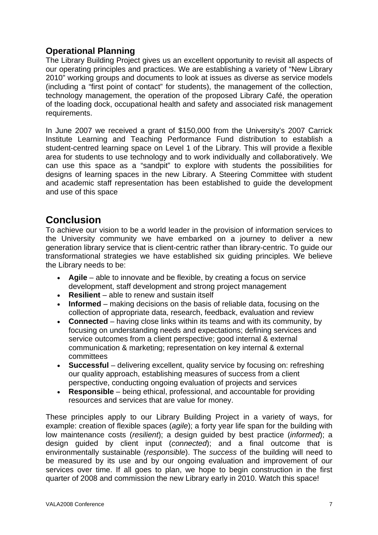## **Operational Planning**

The Library Building Project gives us an excellent opportunity to revisit all aspects of our operating principles and practices. We are establishing a variety of "New Library 2010" working groups and documents to look at issues as diverse as service models (including a "first point of contact" for students), the management of the collection, technology management, the operation of the proposed Library Café, the operation of the loading dock, occupational health and safety and associated risk management requirements.

In June 2007 we received a grant of \$150,000 from the University's 2007 Carrick Institute Learning and Teaching Performance Fund distribution to establish a student-centred learning space on Level 1 of the Library. This will provide a flexible area for students to use technology and to work individually and collaboratively. We can use this space as a "sandpit" to explore with students the possibilities for designs of learning spaces in the new Library. A Steering Committee with student and academic staff representation has been established to guide the development and use of this space

# **Conclusion**

To achieve our vision to be a world leader in the provision of information services to the University community we have embarked on a journey to deliver a new generation library service that is client-centric rather than library-centric. To guide our transformational strategies we have established six guiding principles. We believe the Library needs to be:

- **Agile** able to innovate and be flexible, by creating a focus on service development, staff development and strong project management
- **Resilient** able to renew and sustain itself
- **Informed** making decisions on the basis of reliable data, focusing on the collection of appropriate data, research, feedback, evaluation and review
- **Connected** having close links within its teams and with its community, by focusing on understanding needs and expectations; defining services and service outcomes from a client perspective; good internal & external communication & marketing; representation on key internal & external committees
- **Successful** delivering excellent, quality service by focusing on: refreshing our quality approach, establishing measures of success from a client perspective, conducting ongoing evaluation of projects and services
- **Responsible** being ethical, professional, and accountable for providing resources and services that are value for money.

These principles apply to our Library Building Project in a variety of ways, for example: creation of flexible spaces (*agile*); a forty year life span for the building with low maintenance costs (*resilient*); a design guided by best practice (*informed*); a design guided by client input (*connected*); and a final outcome that is environmentally sustainable (*responsible*). The *success* of the building will need to be measured by its use and by our ongoing evaluation and improvement of our services over time. If all goes to plan, we hope to begin construction in the first quarter of 2008 and commission the new Library early in 2010. Watch this space!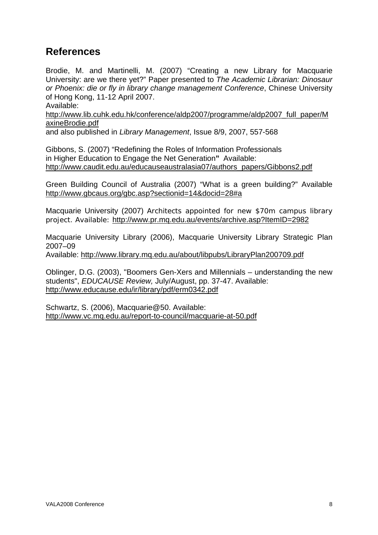# **References**

Brodie, M. and Martinelli, M. (2007) "Creating a new Library for Macquarie University: are we there yet?" Paper presented to *The Academic Librarian: Dinosaur or Phoenix: die or fly in library change management Conference*, Chinese University of Hong Kong, 11-12 April 2007.

Available:

http://www.lib.cuhk.edu.hk/conference/aldp2007/programme/aldp2007\_full\_paper/M axineBrodie.pdf

and also published in *Library Management*, Issue 8/9, 2007, 557-568

Gibbons, S. (2007) "Redefining the Roles of Information Professionals in Higher Education to Engage the Net Generation**"** Available: http://www.caudit.edu.au/educauseaustralasia07/authors\_papers/Gibbons2.pdf

Green Building Council of Australia (2007) "What is a green building?" Available http://www.gbcaus.org/gbc.asp?sectionid=14&docid=28#a

Macquarie University (2007) Architects appointed for new \$70m campus library project. Available: http://www.pr.mq.edu.au/events/archive.asp?ItemID=2982

Macquarie University Library (2006), Macquarie University Library Strategic Plan 2007–09

Available: http://www.library.mq.edu.au/about/libpubs/LibraryPlan200709.pdf

Oblinger, D.G. (2003), "Boomers Gen-Xers and Millennials – understanding the new students", *EDUCAUSE Review,* July/August, pp. 37-47. Available: http://www.educause.edu/ir/library/pdf/erm0342.pdf

Schwartz, S. (2006), Macquarie@50. Available: http://www.vc.mq.edu.au/report-to-council/macquarie-at-50.pdf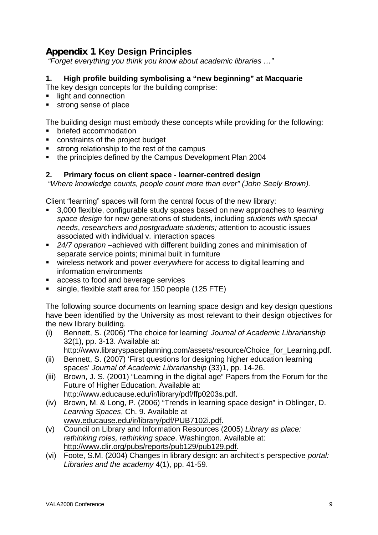## **Appendix 1 Key Design Principles**

 *"Forget everything you think you know about academic libraries …"*

### **1. High profile building symbolising a "new beginning" at Macquarie**

The key design concepts for the building comprise:

- light and connection
- **strong sense of place**

The building design must embody these concepts while providing for the following:

- briefed accommodation
- constraints of the project budget
- **strong relationship to the rest of the campus**
- the principles defined by the Campus Development Plan 2004

#### **2. Primary focus on client space - learner-centred design**

 *"Where knowledge counts, people count more than ever" (John Seely Brown).* 

Client "learning" spaces will form the central focus of the new library:

- 3,000 flexible, configurable study spaces based on new approaches to *learning space design* for new generations of students, including *students with special needs*, *researchers and postgraduate students;* attention to acoustic issues associated with individual v. interaction spaces
- *24/7 operation* –achieved with different building zones and minimisation of separate service points; minimal built in furniture
- wireless network and power *everywhere* for access to digital learning and information environments
- **access to food and beverage services**
- single, flexible staff area for 150 people (125 FTE)

The following source documents on learning space design and key design questions have been identified by the University as most relevant to their design objectives for the new library building.

(i) Bennett, S. (2006) 'The choice for learning' *Journal of Academic Librarianship* 32(1), pp. 3-13. Available at:

http://www.libraryspaceplanning.com/assets/resource/Choice\_for\_Learning.pdf.

- (ii) Bennett, S. (2007) 'First questions for designing higher education learning spaces' *Journal of Academic Librarianship* (33)1, pp. 14-26.
- (iii) Brown, J. S. (2001) "Learning in the digital age" Papers from the Forum for the Future of Higher Education. Available at: http://www.educause.edu/ir/library/pdf/ffp0203s.pdf.
- (iv) Brown, M. & Long, P. (2006) "Trends in learning space design" in Oblinger, D. *Learning Spaces*, Ch. 9. Available at www.educause.edu/ir/library/pdf/PUB7102i.pdf.
- (v) Council on Library and Information Resources (2005) *Library as place: rethinking roles, rethinking space*. Washington. Available at: http://www.clir.org/pubs/reports/pub129/pub129.pdf.
- (vi) Foote, S.M. (2004) Changes in library design: an architect's perspective *portal: Libraries and the academy* 4(1), pp. 41-59.